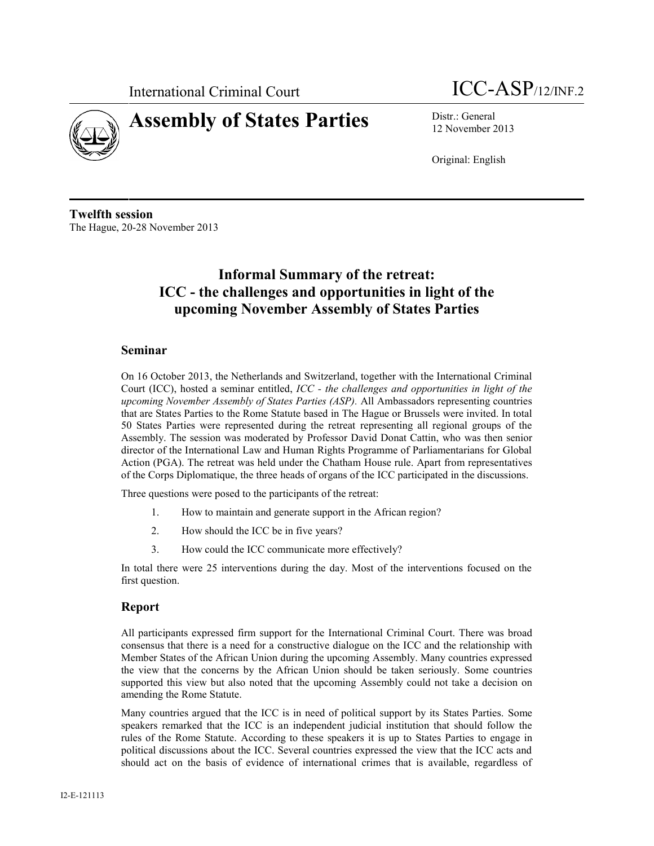

## **Assembly of States Parties** Distr.: General

# International Criminal Court **ICC-ASP**/12/INF.2

12 November 2013

Original: English

**Twelfth session** The Hague, 20-28 November 2013

## **Informal Summary of the retreat: ICC - the challenges and opportunities in light of the upcoming November Assembly of States Parties**

### **Seminar**

On 16 October 2013, the Netherlands and Switzerland, together with the International Criminal Court (ICC), hosted a seminar entitled, *ICC - the challenges and opportunities in light of the upcoming November Assembly of States Parties (ASP).* All Ambassadors representing countries that are States Parties to the Rome Statute based in The Hague or Brussels were invited. In total 50 States Parties were represented during the retreat representing all regional groups of the Assembly. The session was moderated by Professor David Donat Cattin, who was then senior director of the International Law and Human Rights Programme of Parliamentarians for Global Action (PGA). The retreat was held under the Chatham House rule. Apart from representatives of the Corps Diplomatique, the three heads of organs of the ICC participated in the discussions.

Three questions were posed to the participants of the retreat:

- 1. How to maintain and generate support in the African region?
- 2. How should the ICC be in five years?
- 3. How could the ICC communicate more effectively?

In total there were 25 interventions during the day. Most of the interventions focused on the first question.

### **Report**

All participants expressed firm support for the International Criminal Court. There was broad consensus that there is a need for a constructive dialogue on the ICC and the relationship with Member States of the African Union during the upcoming Assembly. Many countries expressed the view that the concerns by the African Union should be taken seriously. Some countries supported this view but also noted that the upcoming Assembly could not take a decision on amending the Rome Statute.

Many countries argued that the ICC is in need of political support by its States Parties. Some speakers remarked that the ICC is an independent judicial institution that should follow the rules of the Rome Statute. According to these speakers it is up to States Parties to engage in political discussions about the ICC. Several countries expressed the view that the ICC acts and should act on the basis of evidence of international crimes that is available, regardless of